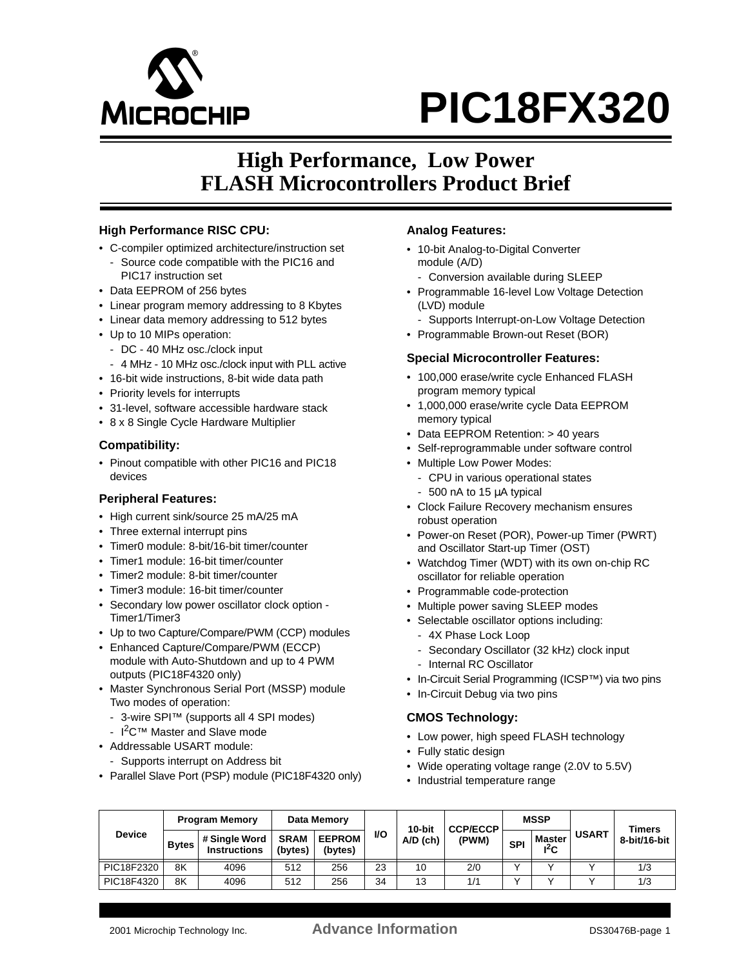

# MICROCHIP
ROOM PIC18FX320

## **High Performance, Low Power FLASH Microcontrollers Product Brief**

#### **High Performance RISC CPU:**

- C-compiler optimized architecture/instruction set
- Source code compatible with the PIC16 and PIC17 instruction set
- Data EEPROM of 256 bytes
- Linear program memory addressing to 8 Kbytes
- Linear data memory addressing to 512 bytes
- Up to 10 MIPs operation:
- DC 40 MHz osc./clock input
- 4 MHz 10 MHz osc./clock input with PLL active
- 16-bit wide instructions, 8-bit wide data path
- Priority levels for interrupts
- 31-level, software accessible hardware stack
- 8 x 8 Single Cycle Hardware Multiplier

#### **Compatibility:**

• Pinout compatible with other PIC16 and PIC18 devices

#### **Peripheral Features:**

- High current sink/source 25 mA/25 mA
- Three external interrupt pins
- Timer0 module: 8-bit/16-bit timer/counter
- Timer1 module: 16-bit timer/counter
- Timer2 module: 8-bit timer/counter
- Timer3 module: 16-bit timer/counter
- Secondary low power oscillator clock option Timer1/Timer3
- Up to two Capture/Compare/PWM (CCP) modules
- Enhanced Capture/Compare/PWM (ECCP) module with Auto-Shutdown and up to 4 PWM outputs (PIC18F4320 only)
- Master Synchronous Serial Port (MSSP) module Two modes of operation:
	- 3-wire SPI™ (supports all 4 SPI modes)
	- I<sup>2</sup>C™ Master and Slave mode
- Addressable USART module:
- Supports interrupt on Address bit
- Parallel Slave Port (PSP) module (PIC18F4320 only)

#### **Analog Features:**

- 10-bit Analog-to-Digital Converter module (A/D)
	- Conversion available during SLEEP
- Programmable 16-level Low Voltage Detection (LVD) module
	- Supports Interrupt-on-Low Voltage Detection
- Programmable Brown-out Reset (BOR)

#### **Special Microcontroller Features:**

- 100,000 erase/write cycle Enhanced FLASH program memory typical
- 1,000,000 erase/write cycle Data EEPROM memory typical
- Data EEPROM Retention: > 40 years
- Self-reprogrammable under software control
- Multiple Low Power Modes:
	- CPU in various operational states
	- 500 nA to 15 µA typical
- Clock Failure Recovery mechanism ensures robust operation
- Power-on Reset (POR), Power-up Timer (PWRT) and Oscillator Start-up Timer (OST)
- Watchdog Timer (WDT) with its own on-chip RC oscillator for reliable operation
- Programmable code-protection
- Multiple power saving SLEEP modes
- Selectable oscillator options including:
	- 4X Phase Lock Loop
	- Secondary Oscillator (32 kHz) clock input
	- Internal RC Oscillator
- In-Circuit Serial Programming (ICSP™) via two pins
- In-Circuit Debug via two pins

#### **CMOS Technology:**

- Low power, high speed FLASH technology
- Fully static design
- Wide operating voltage range (2.0V to 5.5V)
- Industrial temperature range

| <b>Device</b> | <b>Program Memory</b> |                                      | Data Memory            |                          |     | 10-bit     | <b>CCP/ECCP</b> | <b>MSSP</b>  |                         |              | Timers       |
|---------------|-----------------------|--------------------------------------|------------------------|--------------------------|-----|------------|-----------------|--------------|-------------------------|--------------|--------------|
|               | <b>Bytes</b>          | # Single Word<br><b>Instructions</b> | <b>SRAM</b><br>(bytes) | <b>EEPROM</b><br>(bytes) | VO. | $A/D$ (ch) | (PWM)           | <b>SPI</b>   | <b>Master</b><br>$1^2C$ | <b>USART</b> | 8-bit/16-bit |
| PIC18F2320    | 8K                    | 4096                                 | 512                    | 256                      | 23  | 10         | 2/0             |              |                         |              | 1/3          |
| PIC18F4320    | 8K                    | 4096                                 | 512                    | 256                      | 34  | 13         | 1/1             | $\mathbf{v}$ | $\sqrt{}$               |              | 1/3          |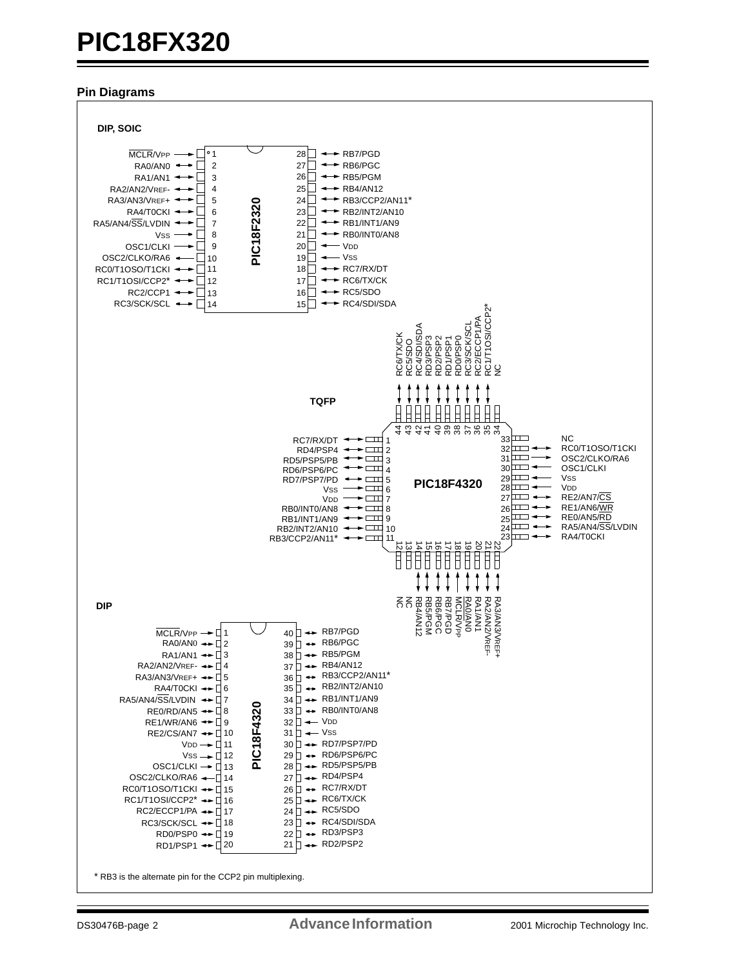# **PIC18FX320**

#### **Pin Diagrams**

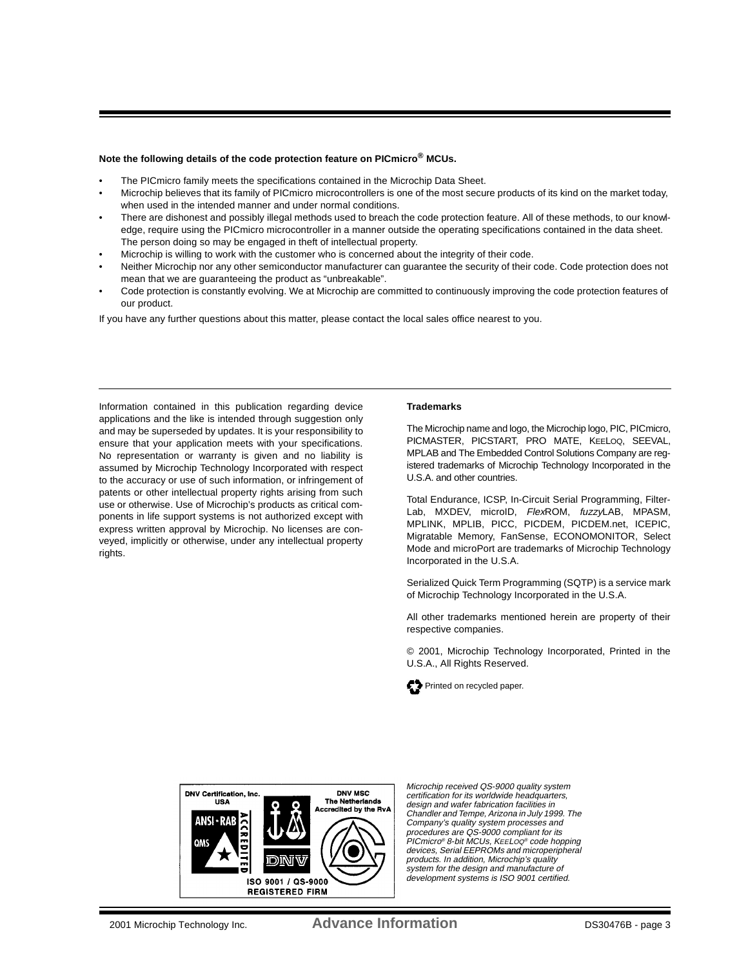#### **Note the following details of the code protection feature on PICmicro® MCUs.**

- The PICmicro family meets the specifications contained in the Microchip Data Sheet.
- Microchip believes that its family of PICmicro microcontrollers is one of the most secure products of its kind on the market today, when used in the intended manner and under normal conditions.
- There are dishonest and possibly illegal methods used to breach the code protection feature. All of these methods, to our knowledge, require using the PICmicro microcontroller in a manner outside the operating specifications contained in the data sheet. The person doing so may be engaged in theft of intellectual property.
- Microchip is willing to work with the customer who is concerned about the integrity of their code.
- Neither Microchip nor any other semiconductor manufacturer can guarantee the security of their code. Code protection does not mean that we are guaranteeing the product as "unbreakable".
- Code protection is constantly evolving. We at Microchip are committed to continuously improving the code protection features of our product.

If you have any further questions about this matter, please contact the local sales office nearest to you.

Information contained in this publication regarding device applications and the like is intended through suggestion only and may be superseded by updates. It is your responsibility to ensure that your application meets with your specifications. No representation or warranty is given and no liability is assumed by Microchip Technology Incorporated with respect to the accuracy or use of such information, or infringement of patents or other intellectual property rights arising from such use or otherwise. Use of Microchip's products as critical components in life support systems is not authorized except with express written approval by Microchip. No licenses are conveyed, implicitly or otherwise, under any intellectual property rights

#### **Trademarks**

The Microchip name and logo, the Microchip logo, PIC, PICmicro, PICMASTER, PICSTART, PRO MATE, KEELOQ, SEEVAL, MPLAB and The Embedded Control Solutions Company are registered trademarks of Microchip Technology Incorporated in the U.S.A. and other countries.

Total Endurance, ICSP, In-Circuit Serial Programming, Filter-Lab, MXDEV, microID, FlexROM, fuzzyLAB, MPASM, MPLINK, MPLIB, PICC, PICDEM, PICDEM.net, ICEPIC, Migratable Memory, FanSense, ECONOMONITOR, Select Mode and microPort are trademarks of Microchip Technology Incorporated in the U.S.A.

Serialized Quick Term Programming (SQTP) is a service mark of Microchip Technology Incorporated in the U.S.A.

All other trademarks mentioned herein are property of their respective companies.

© 2001, Microchip Technology Incorporated, Printed in the U.S.A., All Rights Reserved.





Microchip received QS-9000 quality system certification for its worldwide headquarters, design and wafer fabrication facilities in Chandler and Tempe, Arizona in July 1999. The Company's quality system processes and procedures are QS-9000 compliant for its PICmicro® 8-bit MCUs, KEELOQ® code hopping devices, Serial EEPROMs and microperipheral products. In addition, Microchip's quality system for the design and manufacture of development systems is ISO 9001 certified.